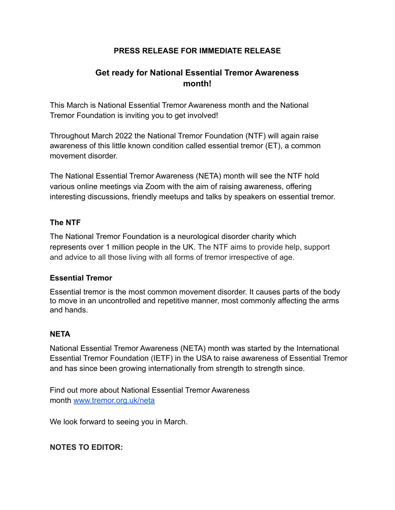## **PRESS RELEASE FOR IMMEDIATE RELEASE**

# **Get ready for National Essential Tremor Awareness month!**

This March is National Essential Tremor Awareness month and the National Tremor Foundation is inviting you to get involved!

Throughout March 2022 the National Tremor Foundation (NTF) will again raise awareness of this little known condition called essential tremor (ET), a common movement disorder.

The National Essential Tremor Awareness (NETA) month will see the NTF hold various online meetings via Zoom with the aim of raising awareness, offering interesting discussions, friendly meetups and talks by speakers on essential tremor.

#### **The NTF**

The National Tremor Foundation is a neurological disorder charity which represents over 1 million people in the UK. The NTF aims to provide help, support and advice to all those living with all forms of tremor irrespective of age.

### **Essential Tremor**

Essential tremor is the most common movement disorder. It causes parts of the body to move in an uncontrolled and repetitive manner, most commonly affecting the arms and hands.

#### **NETA**

National Essential Tremor Awareness (NETA) month was started by the International Essential Tremor Foundation (IETF) in the USA to raise awareness of Essential Tremor and has since been growing internationally from strength to strength since.

Find out more about National Essential Tremor Awareness month [www.tremor.org.uk/neta](http://www.tremor.org.uk/neta)

We look forward to seeing you in March.

### **NOTES TO EDITOR:**